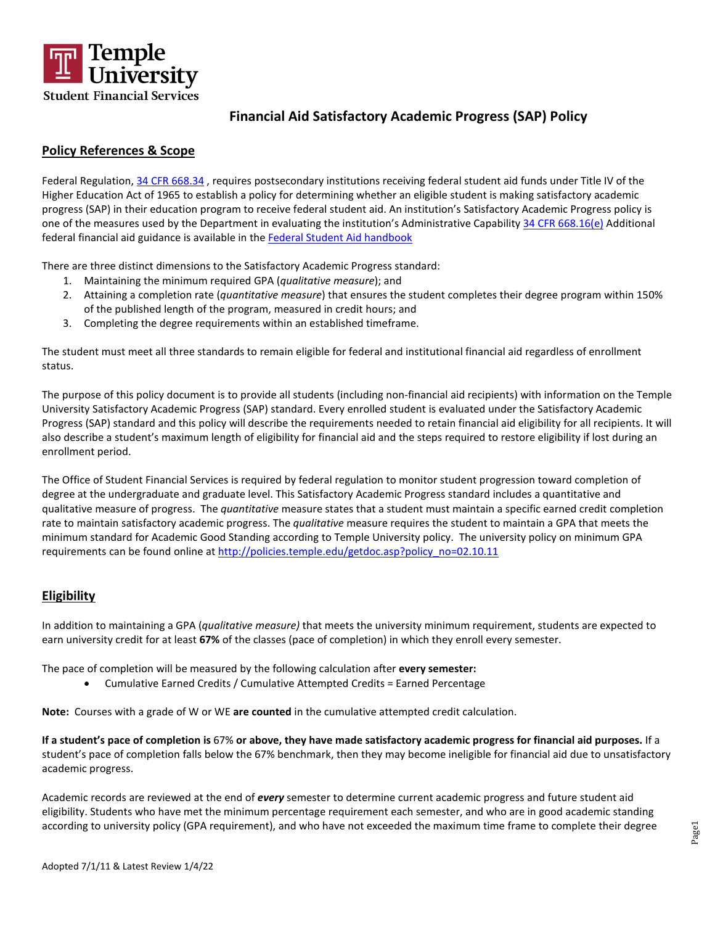

## **Policy References & Scope**

Federal Regulation, [34 CFR 668.34](https://www.ecfr.gov/current/title-34/subtitle-B/chapter-VI/part-668/subpart-C/section-668.34) , requires postsecondary institutions receiving federal student aid funds under Title IV of the Higher Education Act of 1965 to establish a policy for determining whether an eligible student is making satisfactory academic progress (SAP) in their education program to receive federal student aid. An institution's Satisfactory Academic Progress policy is one of the measures used by the Department in evaluating the institution's Administrative Capability [34 CFR 668.16\(e\)](http://www.ecfr.gov/cgi-bin/text-idx?SID=57837bc950ab2c0f4dc6db57e7432eb0&mc=true&node=se34.3.668_116&rgn=div8) Additional federal financial aid guidance is available in th[e Federal Student Aid handbook](https://fsapartners.ed.gov/knowledge-center/library/fsa-assessments/2019-02-27/satisfactory-academic-progress)

There are three distinct dimensions to the Satisfactory Academic Progress standard:

- 1. Maintaining the minimum required GPA (*qualitative measure*); and
- 2. Attaining a completion rate (*quantitative measure*) that ensures the student completes their degree program within 150% of the published length of the program, measured in credit hours; and
- 3. Completing the degree requirements within an established timeframe.

The student must meet all three standards to remain eligible for federal and institutional financial aid regardless of enrollment status.

The purpose of this policy document is to provide all students (including non-financial aid recipients) with information on the Temple University Satisfactory Academic Progress (SAP) standard. Every enrolled student is evaluated under the Satisfactory Academic Progress (SAP) standard and this policy will describe the requirements needed to retain financial aid eligibility for all recipients. It will also describe a student's maximum length of eligibility for financial aid and the steps required to restore eligibility if lost during an enrollment period.

The Office of Student Financial Services is required by federal regulation to monitor student progression toward completion of degree at the undergraduate and graduate level. This Satisfactory Academic Progress standard includes a quantitative and qualitative measure of progress. The *quantitative* measure states that a student must maintain a specific earned credit completion rate to maintain satisfactory academic progress. The *qualitative* measure requires the student to maintain a GPA that meets the minimum standard for Academic Good Standing according to Temple University policy. The university policy on minimum GPA requirements can be found online at [http://policies.temple.edu/getdoc.asp?policy\\_no=02.10.11](http://policies.temple.edu/getdoc.asp?policy_no=02.10.11)

## **Eligibility**

In addition to maintaining a GPA (*qualitative measure)* that meets the university minimum requirement, students are expected to earn university credit for at least **67%** of the classes (pace of completion) in which they enroll every semester.

The pace of completion will be measured by the following calculation after **every semester:**

• Cumulative Earned Credits / Cumulative Attempted Credits = Earned Percentage

**Note:** Courses with a grade of W or WE **are counted** in the cumulative attempted credit calculation.

**If a student's pace of completion is** 67% **or above, they have made satisfactory academic progress for financial aid purposes.** If a student's pace of completion falls below the 67% benchmark, then they may become ineligible for financial aid due to unsatisfactory academic progress.

Academic records are reviewed at the end of *every* semester to determine current academic progress and future student aid eligibility. Students who have met the minimum percentage requirement each semester, and who are in good academic standing according to university policy (GPA requirement), and who have not exceeded the maximum time frame to complete their degree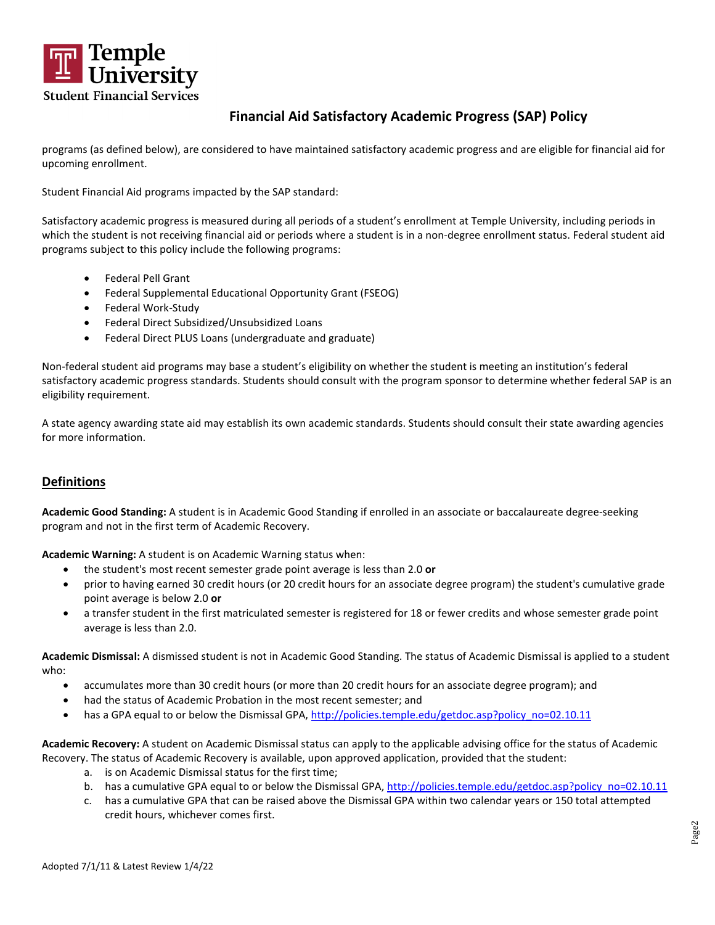

programs (as defined below), are considered to have maintained satisfactory academic progress and are eligible for financial aid for upcoming enrollment.

Student Financial Aid programs impacted by the SAP standard:

Satisfactory academic progress is measured during all periods of a student's enrollment at Temple University, including periods in which the student is not receiving financial aid or periods where a student is in a non-degree enrollment status. Federal student aid programs subject to this policy include the following programs:

- Federal Pell Grant
- Federal Supplemental Educational Opportunity Grant (FSEOG)
- Federal Work-Study
- Federal Direct Subsidized/Unsubsidized Loans
- Federal Direct PLUS Loans (undergraduate and graduate)

Non-federal student aid programs may base a student's eligibility on whether the student is meeting an institution's federal satisfactory academic progress standards. Students should consult with the program sponsor to determine whether federal SAP is an eligibility requirement.

A state agency awarding state aid may establish its own academic standards. Students should consult their state awarding agencies for more information.

## **Definitions**

**Academic Good Standing:** A student is in Academic Good Standing if enrolled in an associate or baccalaureate degree-seeking program and not in the first term of Academic Recovery.

**Academic Warning:** A student is on Academic Warning status when:

- the student's most recent semester grade point average is less than 2.0 **or**
- prior to having earned 30 credit hours (or 20 credit hours for an associate degree program) the student's cumulative grade point average is below 2.0 **or**
- a transfer student in the first matriculated semester is registered for 18 or fewer credits and whose semester grade point average is less than 2.0.

**Academic Dismissal:** A dismissed student is not in Academic Good Standing. The status of Academic Dismissal is applied to a student who:

- accumulates more than 30 credit hours (or more than 20 credit hours for an associate degree program); and
- had the status of Academic Probation in the most recent semester; and
- has a GPA equal to or below the Dismissal GPA[, http://policies.temple.edu/getdoc.asp?policy\\_no=02.10.11](http://policies.temple.edu/getdoc.asp?policy_no=02.10.11)

**Academic Recovery:** A student on Academic Dismissal status can apply to the applicable advising office for the status of Academic Recovery. The status of Academic Recovery is available, upon approved application, provided that the student:

- a. is on Academic Dismissal status for the first time;
- b. has a cumulative GPA equal to or below the Dismissal GPA[, http://policies.temple.edu/getdoc.asp?policy\\_no=02.10.11](http://policies.temple.edu/getdoc.asp?policy_no=02.10.11)
- c. has a cumulative GPA that can be raised above the Dismissal GPA within two calendar years or 150 total attempted credit hours, whichever comes first.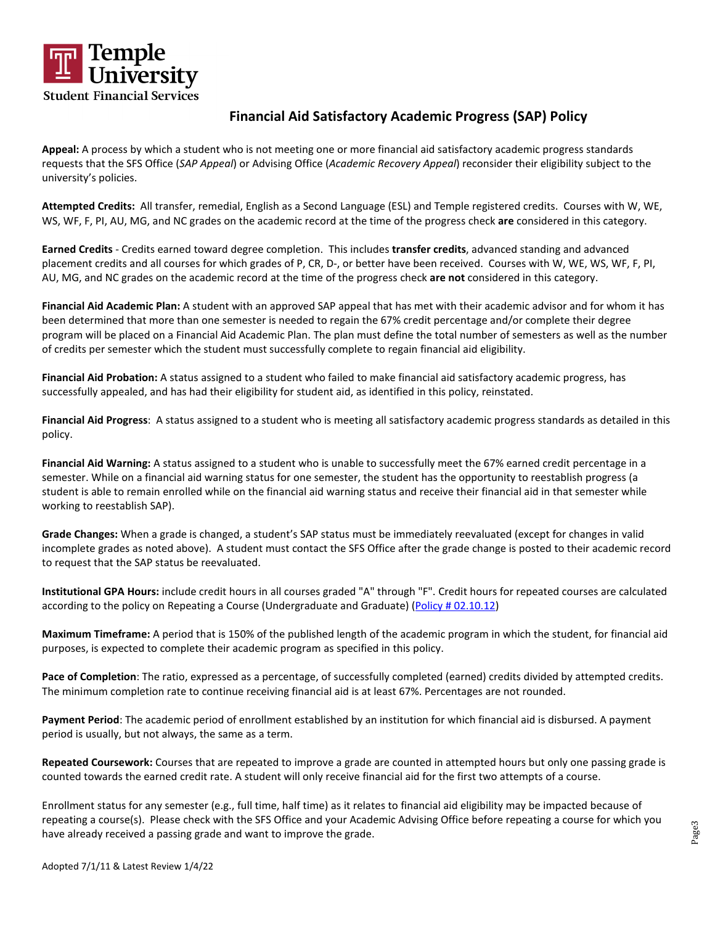

**Appeal:** A process by which a student who is not meeting one or more financial aid satisfactory academic progress standards requests that the SFS Office (*SAP Appeal*) or Advising Office (*Academic Recovery Appeal*) reconsider their eligibility subject to the university's policies.

**Attempted Credits:** All transfer, remedial, English as a Second Language (ESL) and Temple registered credits. Courses with W, WE, WS, WF, F, PI, AU, MG, and NC grades on the academic record at the time of the progress check **are** considered in this category.

**Earned Credits** - Credits earned toward degree completion. This includes **transfer credits**, advanced standing and advanced placement credits and all courses for which grades of P, CR, D-, or better have been received. Courses with W, WE, WS, WF, F, PI, AU, MG, and NC grades on the academic record at the time of the progress check **are not** considered in this category.

**Financial Aid Academic Plan:** A student with an approved SAP appeal that has met with their academic advisor and for whom it has been determined that more than one semester is needed to regain the 67% credit percentage and/or complete their degree program will be placed on a Financial Aid Academic Plan. The plan must define the total number of semesters as well as the number of credits per semester which the student must successfully complete to regain financial aid eligibility.

**Financial Aid Probation:** A status assigned to a student who failed to make financial aid satisfactory academic progress, has successfully appealed, and has had their eligibility for student aid, as identified in this policy, reinstated.

**Financial Aid Progress**: A status assigned to a student who is meeting all satisfactory academic progress standards as detailed in this policy.

**Financial Aid Warning:** A status assigned to a student who is unable to successfully meet the 67% earned credit percentage in a semester. While on a financial aid warning status for one semester, the student has the opportunity to reestablish progress (a student is able to remain enrolled while on the financial aid warning status and receive their financial aid in that semester while working to reestablish SAP).

**Grade Changes:** When a grade is changed, a student's SAP status must be immediately reevaluated (except for changes in valid incomplete grades as noted above). A student must contact the SFS Office after the grade change is posted to their academic record to request that the SAP status be reevaluated.

**Institutional GPA Hours:** include credit hours in all courses graded "A" through "F". Credit hours for repeated courses are calculated according to the policy on Repeating a Course (Undergraduate and Graduate) [\(Policy # 02.10.12\)](https://secretary.temple.edu/sites/secretary/files/policies/02.10.12.pdf)

**Maximum Timeframe:** A period that is 150% of the published length of the academic program in which the student, for financial aid purposes, is expected to complete their academic program as specified in this policy.

**Pace of Completion**: The ratio, expressed as a percentage, of successfully completed (earned) credits divided by attempted credits. The minimum completion rate to continue receiving financial aid is at least 67%. Percentages are not rounded.

**Payment Period**: The academic period of enrollment established by an institution for which financial aid is disbursed. A payment period is usually, but not always, the same as a term.

**Repeated Coursework:** Courses that are repeated to improve a grade are counted in attempted hours but only one passing grade is counted towards the earned credit rate. A student will only receive financial aid for the first two attempts of a course.

Enrollment status for any semester (e.g., full time, half time) as it relates to financial aid eligibility may be impacted because of repeating a course(s). Please check with the SFS Office and your Academic Advising Office before repeating a course for which you have already received a passing grade and want to improve the grade.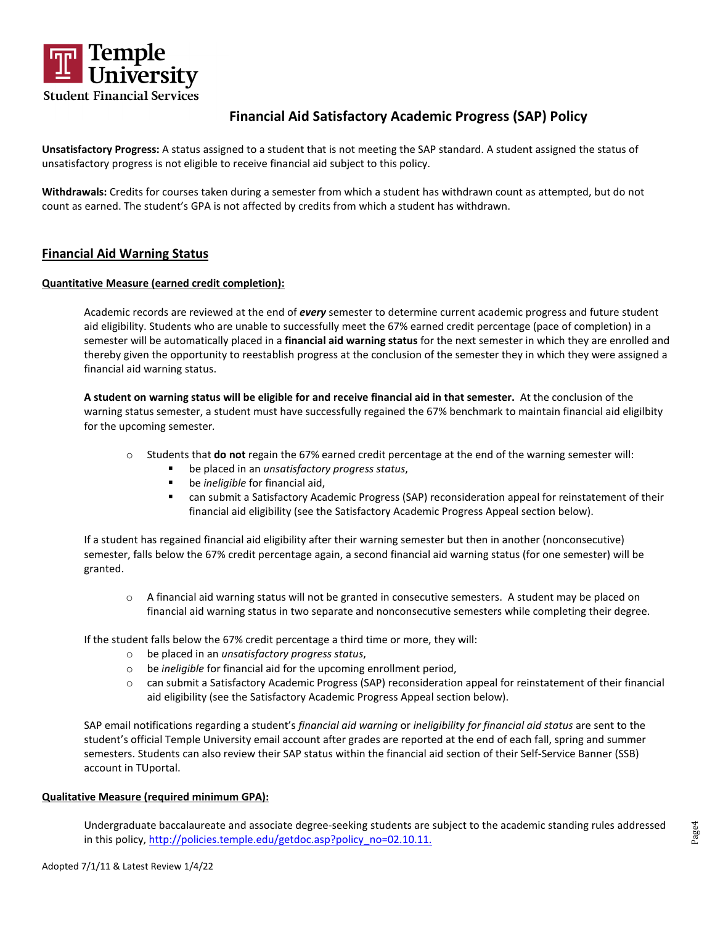

**Unsatisfactory Progress:** A status assigned to a student that is not meeting the SAP standard. A student assigned the status of unsatisfactory progress is not eligible to receive financial aid subject to this policy.

**Withdrawals:** Credits for courses taken during a semester from which a student has withdrawn count as attempted, but do not count as earned. The student's GPA is not affected by credits from which a student has withdrawn.

## **Financial Aid Warning Status**

### **Quantitative Measure (earned credit completion):**

Academic records are reviewed at the end of *every* semester to determine current academic progress and future student aid eligibility. Students who are unable to successfully meet the 67% earned credit percentage (pace of completion) in a semester will be automatically placed in a **financial aid warning status** for the next semester in which they are enrolled and thereby given the opportunity to reestablish progress at the conclusion of the semester they in which they were assigned a financial aid warning status.

**A student on warning status will be eligible for and receive financial aid in that semester.** At the conclusion of the warning status semester, a student must have successfully regained the 67% benchmark to maintain financial aid eligilbity for the upcoming semester*.*

- o Students that **do not** regain the 67% earned credit percentage at the end of the warning semester will:
	- be placed in an *unsatisfactory progress status*,
	- be *ineligible* for financial aid,
	- can submit a Satisfactory Academic Progress (SAP) reconsideration appeal for reinstatement of their financial aid eligibility (see the Satisfactory Academic Progress Appeal section below).

If a student has regained financial aid eligibility after their warning semester but then in another (nonconsecutive) semester, falls below the 67% credit percentage again, a second financial aid warning status (for one semester) will be granted.

o A financial aid warning status will not be granted in consecutive semesters. A student may be placed on financial aid warning status in two separate and nonconsecutive semesters while completing their degree.

If the student falls below the 67% credit percentage a third time or more, they will:

- o be placed in an *unsatisfactory progress status*,
- o be *ineligible* for financial aid for the upcoming enrollment period,
- o can submit a Satisfactory Academic Progress (SAP) reconsideration appeal for reinstatement of their financial aid eligibility (see the Satisfactory Academic Progress Appeal section below).

SAP email notifications regarding a student's *financial aid warning* or *ineligibility for financial aid status* are sent to the student's official Temple University email account after grades are reported at the end of each fall, spring and summer semesters. Students can also review their SAP status within the financial aid section of their Self-Service Banner (SSB) account in TUportal.

#### **Qualitative Measure (required minimum GPA):**

Undergraduate baccalaureate and associate degree-seeking students are subject to the academic standing rules addressed in this policy, http://policies.temple.edu/getdoc.asp?policy\_no=02.10.11.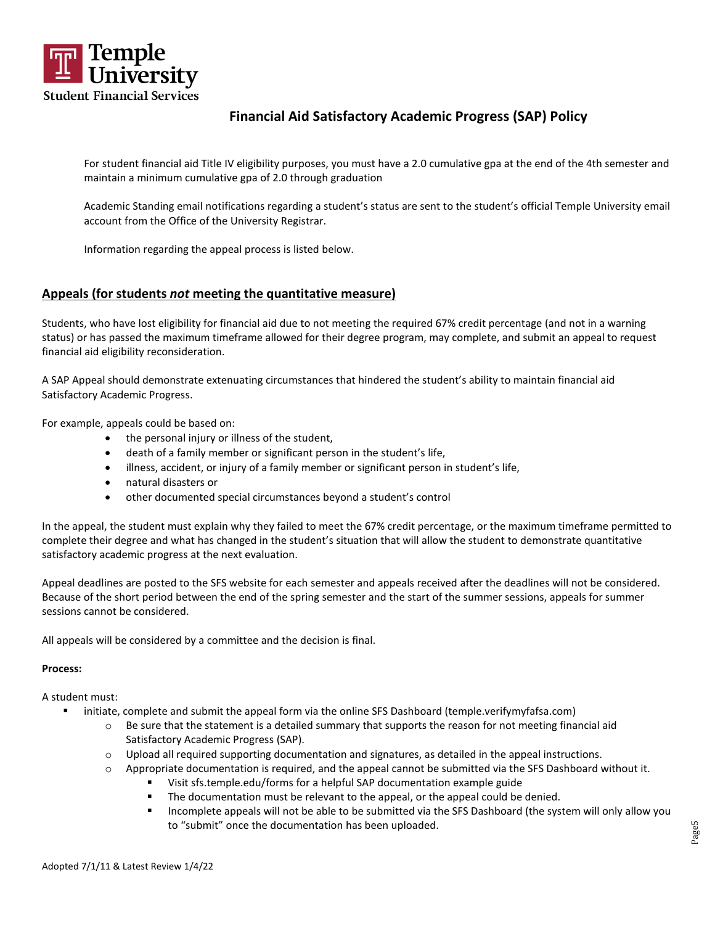

For student financial aid Title IV eligibility purposes, you must have a 2.0 cumulative gpa at the end of the 4th semester and maintain a minimum cumulative gpa of 2.0 through graduation

Academic Standing email notifications regarding a student's status are sent to the student's official Temple University email account from the Office of the University Registrar.

Information regarding the appeal process is listed below.

## **Appeals (for students** *not* **meeting the quantitative measure)**

Students, who have lost eligibility for financial aid due to not meeting the required 67% credit percentage (and not in a warning status) or has passed the maximum timeframe allowed for their degree program, may complete, and submit an appeal to request financial aid eligibility reconsideration.

A SAP Appeal should demonstrate extenuating circumstances that hindered the student's ability to maintain financial aid Satisfactory Academic Progress.

For example, appeals could be based on:

- the personal injury or illness of the student,
- death of a family member or significant person in the student's life,
- illness, accident, or injury of a family member or significant person in student's life,
- natural disasters or
- other documented special circumstances beyond a student's control

In the appeal, the student must explain why they failed to meet the 67% credit percentage, or the maximum timeframe permitted to complete their degree and what has changed in the student's situation that will allow the student to demonstrate quantitative satisfactory academic progress at the next evaluation.

Appeal deadlines are posted to the SFS website for each semester and appeals received after the deadlines will not be considered. Because of the short period between the end of the spring semester and the start of the summer sessions, appeals for summer sessions cannot be considered.

All appeals will be considered by a committee and the decision is final.

#### **Process:**

A student must:

- **EXECT:** initiate, complete and submit the appeal form via the online SFS Dashboard (temple.verifymyfafsa.com)
	- $\circ$  Be sure that the statement is a detailed summary that supports the reason for not meeting financial aid Satisfactory Academic Progress (SAP).
	- $\circ$  Upload all required supporting documentation and signatures, as detailed in the appeal instructions.
	- o Appropriate documentation is required, and the appeal cannot be submitted via the SFS Dashboard without it.
		- Visit sfs.temple.edu/forms for a helpful SAP documentation example guide
		- The documentation must be relevant to the appeal, or the appeal could be denied.
		- Incomplete appeals will not be able to be submitted via the SFS Dashboard (the system will only allow you to "submit" once the documentation has been uploaded.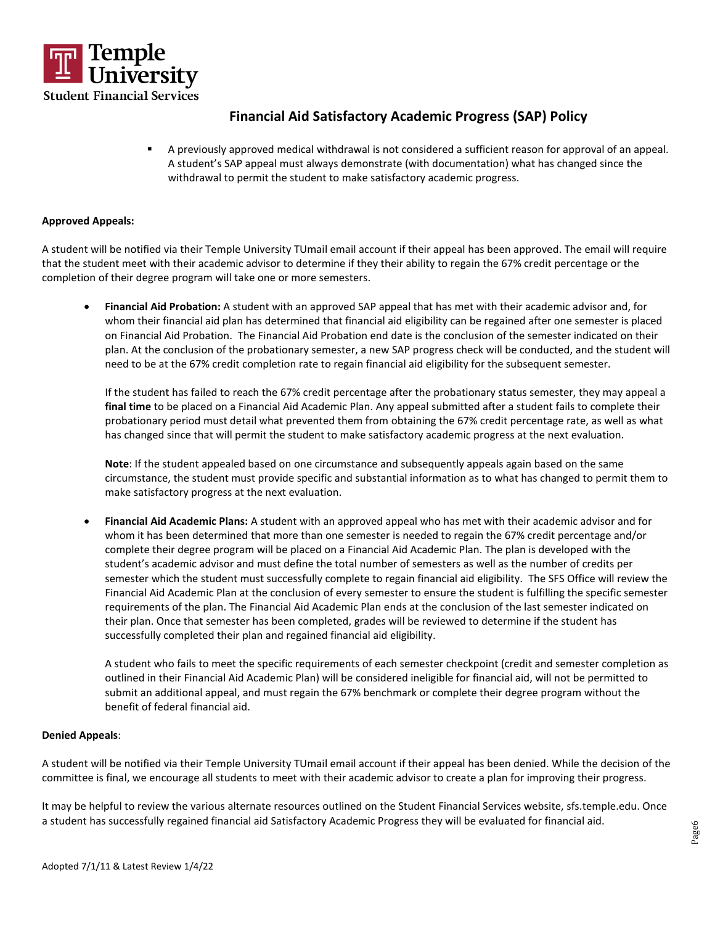

 A previously approved medical withdrawal is not considered a sufficient reason for approval of an appeal. A student's SAP appeal must always demonstrate (with documentation) what has changed since the withdrawal to permit the student to make satisfactory academic progress.

### **Approved Appeals:**

A student will be notified via their Temple University TUmail email account if their appeal has been approved. The email will require that the student meet with their academic advisor to determine if they their ability to regain the 67% credit percentage or the completion of their degree program will take one or more semesters.

• **Financial Aid Probation:** A student with an approved SAP appeal that has met with their academic advisor and, for whom their financial aid plan has determined that financial aid eligibility can be regained after one semester is placed on Financial Aid Probation. The Financial Aid Probation end date is the conclusion of the semester indicated on their plan. At the conclusion of the probationary semester, a new SAP progress check will be conducted, and the student will need to be at the 67% credit completion rate to regain financial aid eligibility for the subsequent semester.

If the student has failed to reach the 67% credit percentage after the probationary status semester, they may appeal a **final time** to be placed on a Financial Aid Academic Plan. Any appeal submitted after a student fails to complete their probationary period must detail what prevented them from obtaining the 67% credit percentage rate, as well as what has changed since that will permit the student to make satisfactory academic progress at the next evaluation.

**Note**: If the student appealed based on one circumstance and subsequently appeals again based on the same circumstance, the student must provide specific and substantial information as to what has changed to permit them to make satisfactory progress at the next evaluation.

• **Financial Aid Academic Plans:** A student with an approved appeal who has met with their academic advisor and for whom it has been determined that more than one semester is needed to regain the 67% credit percentage and/or complete their degree program will be placed on a Financial Aid Academic Plan. The plan is developed with the student's academic advisor and must define the total number of semesters as well as the number of credits per semester which the student must successfully complete to regain financial aid eligibility. The SFS Office will review the Financial Aid Academic Plan at the conclusion of every semester to ensure the student is fulfilling the specific semester requirements of the plan. The Financial Aid Academic Plan ends at the conclusion of the last semester indicated on their plan. Once that semester has been completed, grades will be reviewed to determine if the student has successfully completed their plan and regained financial aid eligibility.

A student who fails to meet the specific requirements of each semester checkpoint (credit and semester completion as outlined in their Financial Aid Academic Plan) will be considered ineligible for financial aid, will not be permitted to submit an additional appeal, and must regain the 67% benchmark or complete their degree program without the benefit of federal financial aid.

#### **Denied Appeals**:

A student will be notified via their Temple University TUmail email account if their appeal has been denied. While the decision of the committee is final, we encourage all students to meet with their academic advisor to create a plan for improving their progress.

It may be helpful to review the various alternate resources outlined on the Student Financial Services website, sfs.temple.edu. Once a student has successfully regained financial aid Satisfactory Academic Progress they will be evaluated for financial aid.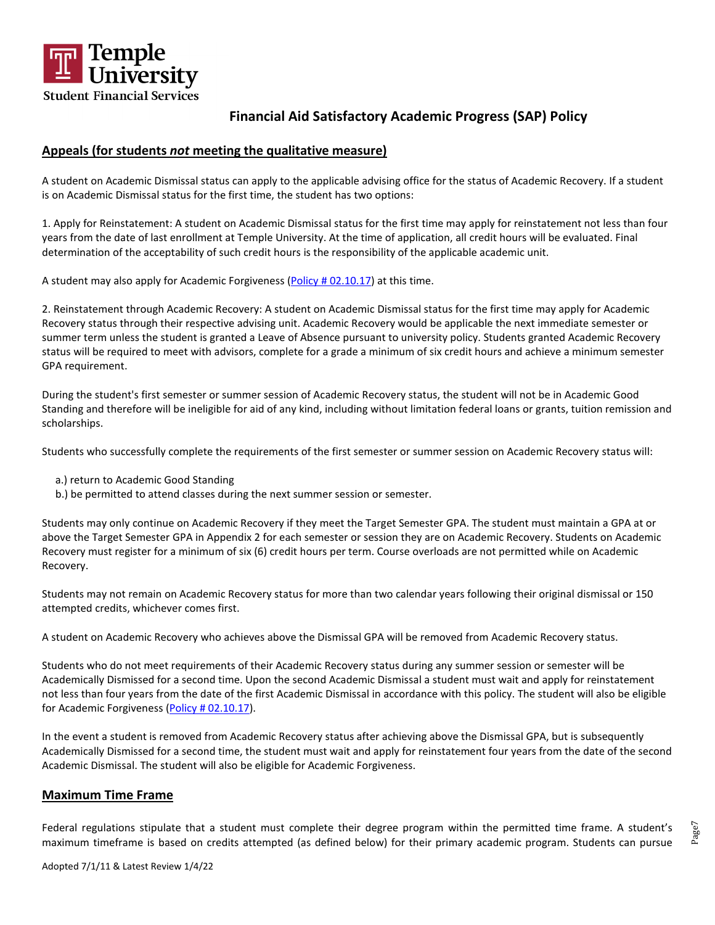

## **Appeals (for students** *not* **meeting the qualitative measure)**

A student on Academic Dismissal status can apply to the applicable advising office for the status of Academic Recovery. If a student is on Academic Dismissal status for the first time, the student has two options:

1. Apply for Reinstatement: A student on Academic Dismissal status for the first time may apply for reinstatement not less than four years from the date of last enrollment at Temple University. At the time of application, all credit hours will be evaluated. Final determination of the acceptability of such credit hours is the responsibility of the applicable academic unit.

A student may also apply for Academic Forgiveness [\(Policy # 02.10.17\)](https://secretary.temple.edu/sites/secretary/files/policies/02.10.17.pdf) at this time.

2. Reinstatement through Academic Recovery: A student on Academic Dismissal status for the first time may apply for Academic Recovery status through their respective advising unit. Academic Recovery would be applicable the next immediate semester or summer term unless the student is granted a Leave of Absence pursuant to university policy. Students granted Academic Recovery status will be required to meet with advisors, complete for a grade a minimum of six credit hours and achieve a minimum semester GPA requirement.

During the student's first semester or summer session of Academic Recovery status, the student will not be in Academic Good Standing and therefore will be ineligible for aid of any kind, including without limitation federal loans or grants, tuition remission and scholarships.

Students who successfully complete the requirements of the first semester or summer session on Academic Recovery status will:

- a.) return to Academic Good Standing
- b.) be permitted to attend classes during the next summer session or semester.

Students may only continue on Academic Recovery if they meet the Target Semester GPA. The student must maintain a GPA at or above the Target Semester GPA in Appendix 2 for each semester or session they are on Academic Recovery. Students on Academic Recovery must register for a minimum of six (6) credit hours per term. Course overloads are not permitted while on Academic Recovery.

Students may not remain on Academic Recovery status for more than two calendar years following their original dismissal or 150 attempted credits, whichever comes first.

A student on Academic Recovery who achieves above the Dismissal GPA will be removed from Academic Recovery status.

Students who do not meet requirements of their Academic Recovery status during any summer session or semester will be Academically Dismissed for a second time. Upon the second Academic Dismissal a student must wait and apply for reinstatement not less than four years from the date of the first Academic Dismissal in accordance with this policy. The student will also be eligible for Academic Forgiveness [\(Policy # 02.10.17\)](https://secretary.temple.edu/sites/secretary/files/policies/02.10.17.pdf).

In the event a student is removed from Academic Recovery status after achieving above the Dismissal GPA, but is subsequently Academically Dismissed for a second time, the student must wait and apply for reinstatement four years from the date of the second Academic Dismissal. The student will also be eligible for Academic Forgiveness.

## **Maximum Time Frame**

Federal regulations stipulate that a student must complete their degree program within the permitted time frame. A student's maximum timeframe is based on credits attempted (as defined below) for their primary academic program. Students can pursue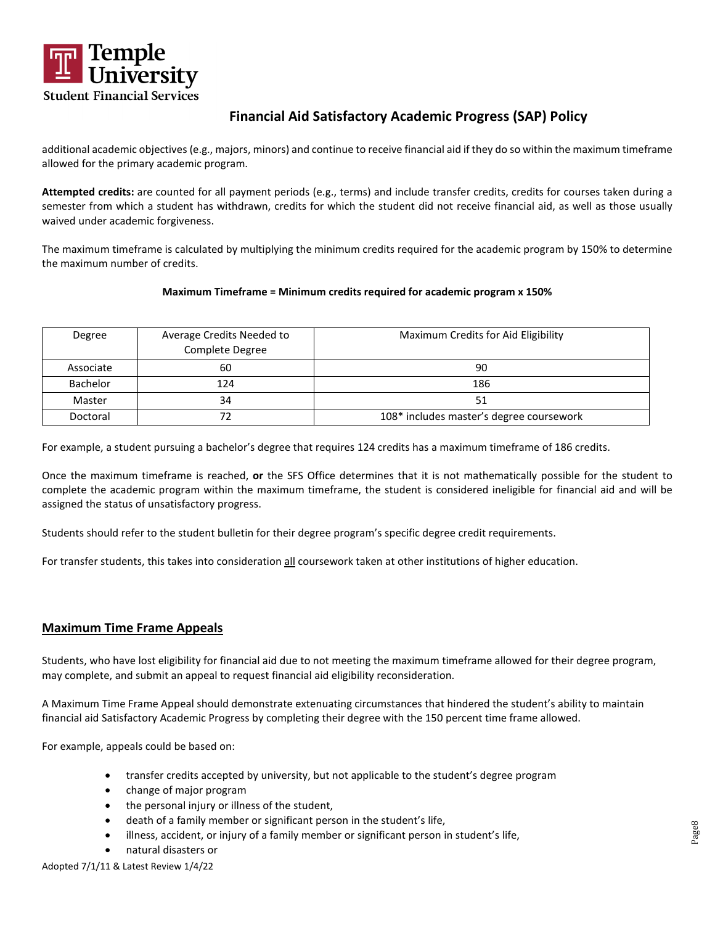

additional academic objectives (e.g., majors, minors) and continue to receive financial aid if they do so within the maximum timeframe allowed for the primary academic program.

**Attempted credits:** are counted for all payment periods (e.g., terms) and include transfer credits, credits for courses taken during a semester from which a student has withdrawn, credits for which the student did not receive financial aid, as well as those usually waived under academic forgiveness.

The maximum timeframe is calculated by multiplying the minimum credits required for the academic program by 150% to determine the maximum number of credits.

### **Maximum Timeframe = Minimum credits required for academic program x 150%**

| Degree          | Average Credits Needed to<br>Complete Degree | Maximum Credits for Aid Eligibility      |
|-----------------|----------------------------------------------|------------------------------------------|
| Associate       | 60                                           | 90                                       |
| <b>Bachelor</b> | 124                                          | 186                                      |
| Master          | 34                                           | 51                                       |
| Doctoral        |                                              | 108* includes master's degree coursework |

For example, a student pursuing a bachelor's degree that requires 124 credits has a maximum timeframe of 186 credits.

Once the maximum timeframe is reached, **or** the SFS Office determines that it is not mathematically possible for the student to complete the academic program within the maximum timeframe, the student is considered ineligible for financial aid and will be assigned the status of unsatisfactory progress.

Students should refer to the student bulletin for their degree program's specific degree credit requirements.

For transfer students, this takes into consideration all coursework taken at other institutions of higher education.

### **Maximum Time Frame Appeals**

Students, who have lost eligibility for financial aid due to not meeting the maximum timeframe allowed for their degree program, may complete, and submit an appeal to request financial aid eligibility reconsideration.

A Maximum Time Frame Appeal should demonstrate extenuating circumstances that hindered the student's ability to maintain financial aid Satisfactory Academic Progress by completing their degree with the 150 percent time frame allowed.

For example, appeals could be based on:

- transfer credits accepted by university, but not applicable to the student's degree program
- change of major program
- the personal injury or illness of the student,
- death of a family member or significant person in the student's life,
- illness, accident, or injury of a family member or significant person in student's life,
- natural disasters or

Adopted 7/1/11 & Latest Review 1/4/22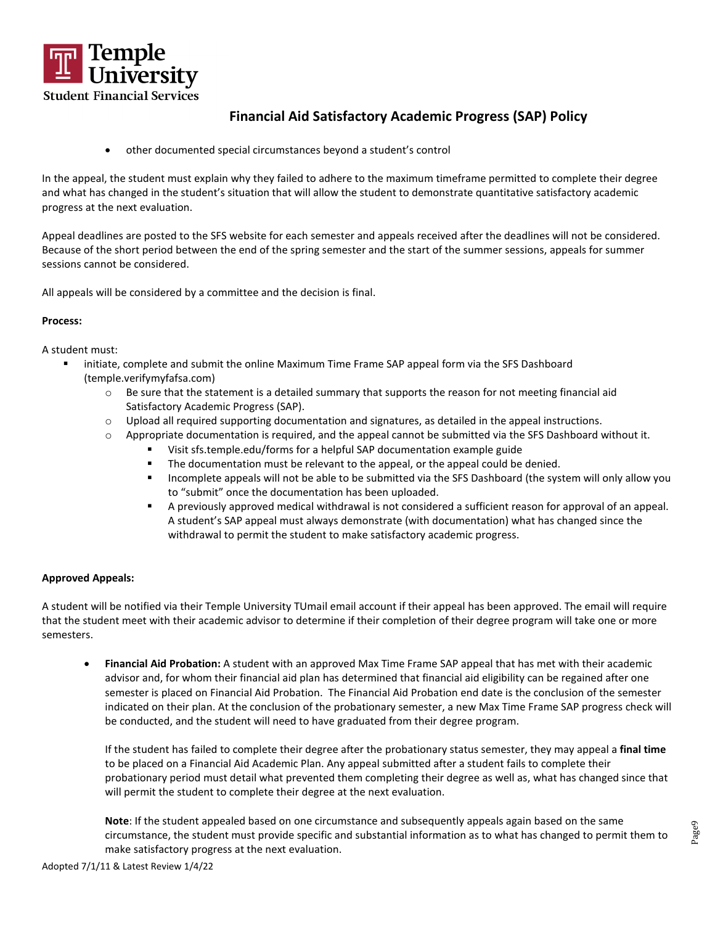

• other documented special circumstances beyond a student's control

In the appeal, the student must explain why they failed to adhere to the maximum timeframe permitted to complete their degree and what has changed in the student's situation that will allow the student to demonstrate quantitative satisfactory academic progress at the next evaluation.

Appeal deadlines are posted to the SFS website for each semester and appeals received after the deadlines will not be considered. Because of the short period between the end of the spring semester and the start of the summer sessions, appeals for summer sessions cannot be considered.

All appeals will be considered by a committee and the decision is final.

### **Process:**

A student must:

- initiate, complete and submit the online Maximum Time Frame SAP appeal form via the SFS Dashboard (temple.verifymyfafsa.com)
	- $\circ$  Be sure that the statement is a detailed summary that supports the reason for not meeting financial aid Satisfactory Academic Progress (SAP).
	- $\circ$  Upload all required supporting documentation and signatures, as detailed in the appeal instructions.
	- $\circ$  Appropriate documentation is required, and the appeal cannot be submitted via the SFS Dashboard without it.
		- Visit sfs.temple.edu/forms for a helpful SAP documentation example guide
		- **The documentation must be relevant to the appeal, or the appeal could be denied.**
		- Incomplete appeals will not be able to be submitted via the SFS Dashboard (the system will only allow you to "submit" once the documentation has been uploaded.
		- A previously approved medical withdrawal is not considered a sufficient reason for approval of an appeal. A student's SAP appeal must always demonstrate (with documentation) what has changed since the withdrawal to permit the student to make satisfactory academic progress.

### **Approved Appeals:**

A student will be notified via their Temple University TUmail email account if their appeal has been approved. The email will require that the student meet with their academic advisor to determine if their completion of their degree program will take one or more semesters.

• **Financial Aid Probation:** A student with an approved Max Time Frame SAP appeal that has met with their academic advisor and, for whom their financial aid plan has determined that financial aid eligibility can be regained after one semester is placed on Financial Aid Probation. The Financial Aid Probation end date is the conclusion of the semester indicated on their plan. At the conclusion of the probationary semester, a new Max Time Frame SAP progress check will be conducted, and the student will need to have graduated from their degree program.

If the student has failed to complete their degree after the probationary status semester, they may appeal a **final time** to be placed on a Financial Aid Academic Plan. Any appeal submitted after a student fails to complete their probationary period must detail what prevented them completing their degree as well as, what has changed since that will permit the student to complete their degree at the next evaluation.

**Note**: If the student appealed based on one circumstance and subsequently appeals again based on the same circumstance, the student must provide specific and substantial information as to what has changed to permit them to make satisfactory progress at the next evaluation.